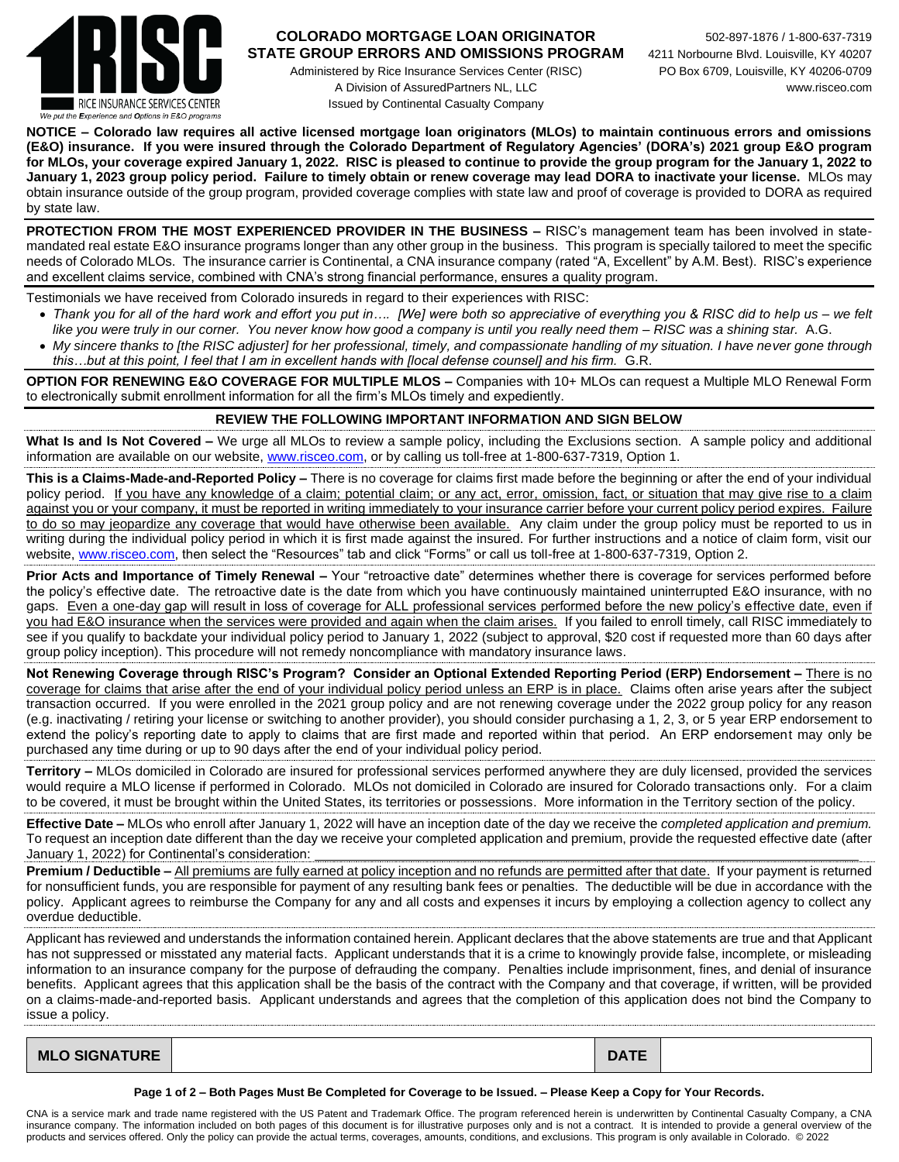

## **COLORADO MORTGAGE LOAN ORIGINATOR** 502-897-1876 / 1-800-637-7319 **STATE GROUP ERRORS AND OMISSIONS PROGRAM** 4211 Norbourne Blvd. Louisville, KY 40207

Administered by Rice Insurance Services Center (RISC) PO Box 6709, Louisville, KY 40206-0709 A Division of AssuredPartners NL, LLC www.risceo.com Issued by Continental Casualty Company

**NOTICE – Colorado law requires all active licensed mortgage loan originators (MLOs) to maintain continuous errors and omissions (E&O) insurance. If you were insured through the Colorado Department of Regulatory Agencies' (DORA's) 2021 group E&O program for MLOs, your coverage expired January 1, 2022. RISC is pleased to continue to provide the group program for the January 1, 2022 to January 1, 2023 group policy period. Failure to timely obtain or renew coverage may lead DORA to inactivate your license.** MLOs may obtain insurance outside of the group program, provided coverage complies with state law and proof of coverage is provided to DORA as required by state law.

**PROTECTION FROM THE MOST EXPERIENCED PROVIDER IN THE BUSINESS –** RISC's management team has been involved in statemandated real estate E&O insurance programs longer than any other group in the business. This program is specially tailored to meet the specific needs of Colorado MLOs. The insurance carrier is Continental, a CNA insurance company (rated "A, Excellent" by A.M. Best). RISC's experience and excellent claims service, combined with CNA's strong financial performance, ensures a quality program.

Testimonials we have received from Colorado insureds in regard to their experiences with RISC:

- *Thank you for all of the hard work and effort you put in…. [We] were both so appreciative of everything you & RISC did to help us – we felt like you were truly in our corner. You never know how good a company is until you really need them – RISC was a shining star.* A.G.
- *My sincere thanks to [the RISC adjuster] for her professional, timely, and compassionate handling of my situation. I have never gone through this…but at this point, I feel that I am in excellent hands with [local defense counsel] and his firm.* G.R.

**OPTION FOR RENEWING E&O COVERAGE FOR MULTIPLE MLOS –** Companies with 10+ MLOs can request a Multiple MLO Renewal Form to electronically submit enrollment information for all the firm's MLOs timely and expediently.

## **REVIEW THE FOLLOWING IMPORTANT INFORMATION AND SIGN BELOW**

**What Is and Is Not Covered –** We urge all MLOs to review a sample policy, including the Exclusions section. A sample policy and additional information are available on our website, [www.risceo.com,](http://www.risceo.com/) or by calling us toll-free at 1-800-637-7319, Option 1.

**This is a Claims-Made-and-Reported Policy –** There is no coverage for claims first made before the beginning or after the end of your individual policy period. If you have any knowledge of a claim; potential claim; or any act, error, omission, fact, or situation that may give rise to a claim against you or your company, it must be reported in writing immediately to your insurance carrier before your current policy period expires. Failure to do so may jeopardize any coverage that would have otherwise been available. Any claim under the group policy must be reported to us in writing during the individual policy period in which it is first made against the insured. For further instructions and a notice of claim form, visit our website[, www.risceo.com,](http://www.risceo.com/notice-of-claim-form) then select the "Resources" tab and click "Forms" or call us toll-free at 1-800-637-7319, Option 2.

**Prior Acts and Importance of Timely Renewal –** Your "retroactive date" determines whether there is coverage for services performed before the policy's effective date. The retroactive date is the date from which you have continuously maintained uninterrupted E&O insurance, with no gaps. Even a one-day gap will result in loss of coverage for ALL professional services performed before the new policy's effective date, even if you had E&O insurance when the services were provided and again when the claim arises. If you failed to enroll timely, call RISC immediately to see if you qualify to backdate your individual policy period to January 1, 2022 (subject to approval, \$20 cost if requested more than 60 days after group policy inception). This procedure will not remedy noncompliance with mandatory insurance laws.

**Not Renewing Coverage through RISC's Program? Consider an Optional Extended Reporting Period (ERP) Endorsement –** There is no coverage for claims that arise after the end of your individual policy period unless an ERP is in place. Claims often arise years after the subject transaction occurred. If you were enrolled in the 2021 group policy and are not renewing coverage under the 2022 group policy for any reason (e.g. inactivating / retiring your license or switching to another provider), you should consider purchasing a 1, 2, 3, or 5 year ERP endorsement to extend the policy's reporting date to apply to claims that are first made and reported within that period. An ERP endorsement may only be purchased any time during or up to 90 days after the end of your individual policy period.

**Territory –** MLOs domiciled in Colorado are insured for professional services performed anywhere they are duly licensed, provided the services would require a MLO license if performed in Colorado. MLOs not domiciled in Colorado are insured for Colorado transactions only. For a claim to be covered, it must be brought within the United States, its territories or possessions. More information in the Territory section of the policy.

**Effective Date –** MLOs who enroll after January 1, 2022 will have an inception date of the day we receive the *completed application and premium.* To request an inception date different than the day we receive your completed application and premium, provide the requested effective date (after January 1, 2022) for Continental's consideration:

**Premium / Deductible –** All premiums are fully earned at policy inception and no refunds are permitted after that date. If your payment is returned for nonsufficient funds, you are responsible for payment of any resulting bank fees or penalties. The deductible will be due in accordance with the policy. Applicant agrees to reimburse the Company for any and all costs and expenses it incurs by employing a collection agency to collect any overdue deductible.

Applicant has reviewed and understands the information contained herein. Applicant declares that the above statements are true and that Applicant has not suppressed or misstated any material facts. Applicant understands that it is a crime to knowingly provide false, incomplete, or misleading information to an insurance company for the purpose of defrauding the company. Penalties include imprisonment, fines, and denial of insurance benefits. Applicant agrees that this application shall be the basis of the contract with the Company and that coverage, if written, will be provided on a claims-made-and-reported basis. Applicant understands and agrees that the completion of this application does not bind the Company to issue a policy.

| <b>DATE</b><br><b>MLO SIGNATURE</b> |
|-------------------------------------|
|-------------------------------------|

**Page 1 of 2 – Both Pages Must Be Completed for Coverage to be Issued. – Please Keep a Copy for Your Records.**

CNA is a service mark and trade name registered with the US Patent and Trademark Office. The program referenced herein is underwritten by Continental Casualty Company, a CNA insurance company. The information included on both pages of this document is for illustrative purposes only and is not a contract. It is intended to provide a general overview of the products and services offered. Only the policy can provide the actual terms, coverages, amounts, conditions, and exclusions. This program is only available in Colorado. © 2022